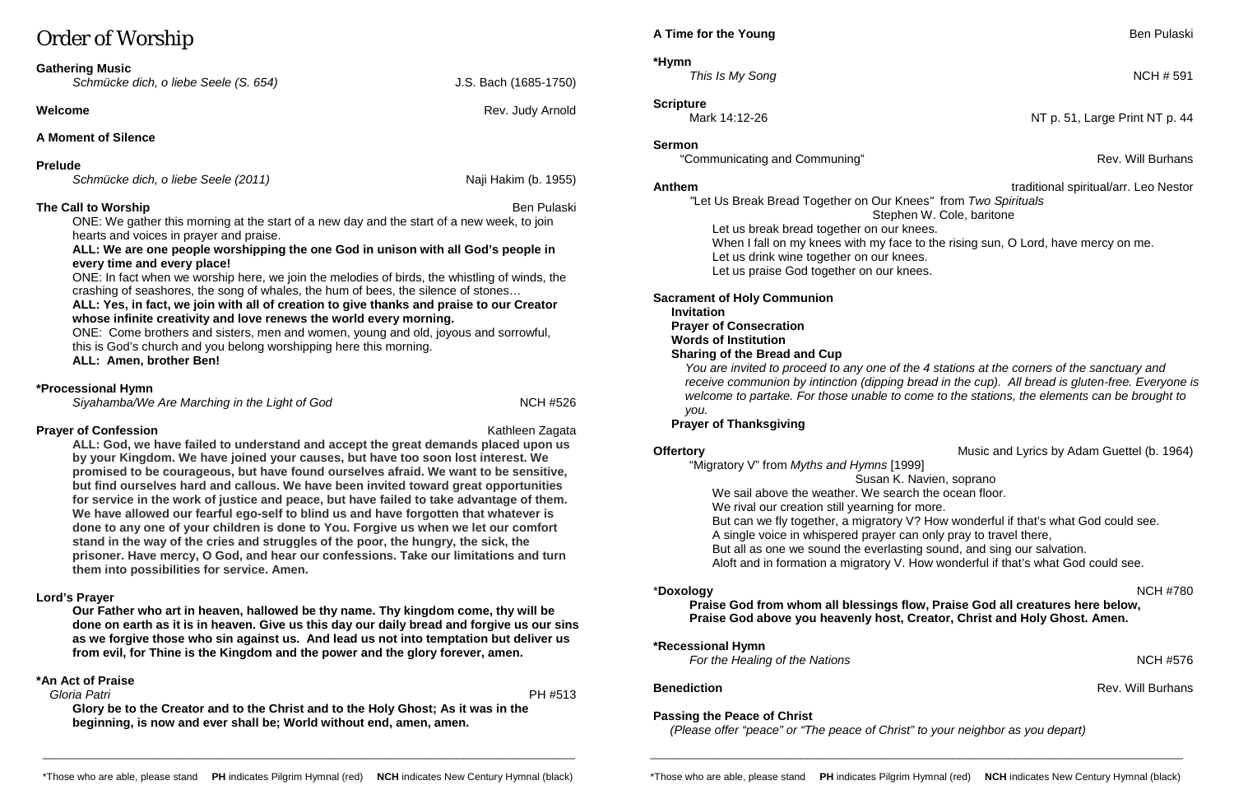# Order of Worship

#### **Gathering Music**

*Schmücke dich, o liebe Seele (S. 654)* J.S. Bach (1685-1750)

#### **Welcome Rev.** Judy Arnold **Rev.** Judy Arnold

## **A Moment of Silence**

#### **Prelude**

*Schmücke dich, o liebe Seele (2011)* Naji Hakim (b. 1955)

## **The Call to Worship** Ben Pulaski and the Call to Worship Ben Pulaski and the Call to Worship Ben Pulaski and the Ben Pulaski

ONE: We gather this morning at the start of a new day and the start of a new week, to join hearts and voices in prayer and praise.

#### **ALL: We are one people worshipping the one God in unison with all God's people in every time and every place!**

ONE: In fact when we worship here, we join the melodies of birds, the whistling of winds, the crashing of seashores, the song of whales, the hum of bees, the silence of stones…

#### **ALL: Yes, in fact, we join with all of creation to give thanks and praise to our Creator whose infinite creativity and love renews the world every morning.**

ONE: Come brothers and sisters, men and women, young and old, joyous and sorrowful, this is God's church and you belong worshipping here this morning.

**ALL: Amen, brother Ben!** 

#### **\*Processional Hymn**

*Siyahamba/We Are Marching in the Light of God* NCH #526

## **Prayer of Confession Kathleen Zagata** Kathleen Zagata

**\*Hymn**  *This Is My Song* NCH # 591

**ALL: God, we have failed to understand and accept the great demands placed upon us by your Kingdom. We have joined your causes, but have too soon lost interest. We promised to be courageous, but have found ourselves afraid. We want to be sensitive, but find ourselves hard and callous. We have been invited toward great opportunities for service in the work of justice and peace, but have failed to take advantage of them. We have allowed our fearful ego-self to blind us and have forgotten that whatever is done to any one of your children is done to You. Forgive us when we let our comfort stand in the way of the cries and struggles of the poor, the hungry, the sick, the prisoner. Have mercy, O God, and hear our confessions. Take our limitations and turn them into possibilities for service. Amen.**

**Offertory Contract Adam Current Contract Adam Guettel (b. 1964)** Music and Lyrics by Adam Guettel (b. 1964) "Migratory V" from *Myths and Hymns* [1999] Susan K. Navien, soprano We sail above the weather. We search the ocean floor.

## **Lord's Prayer**

We rival our creation still yearning for more. But can we fly together, a migratory V? How wonderful if that's what God could see. A single voice in whispered prayer can only pray to travel there, But all as one we sound the everlasting sound, and sing our salvation. Aloft and in formation a migratory V. How wonderful if that's what God could see.

**Our Father who art in heaven, hallowed be thy name. Thy kingdom come, thy will be done on earth as it is in heaven. Give us this day our daily bread and forgive us our sins as we forgive those who sin against us. And lead us not into temptation but deliver us from evil, for Thine is the Kingdom and the power and the glory forever, amen.**

## **\*An Act of Praise**

 *Gloria Patri* PH #513

**Glory be to the Creator and to the Christ and to the Holy Ghost; As it was in the beginning, is now and ever shall be; World without end, amen, amen.**

**Scripture**

**Sermon**

"Communicating and Communing" **All and Communing**  $\sim$  Rev. Will Burhans

**Anthem** traditional spiritual/arr. Leo Nestor *"*Let Us Break Bread Together on Our Knees*"* from *Two Spirituals* Stephen W. Cole, baritone Let us break bread together on our knees. When I fall on my knees with my face to the rising sun, O Lord, have mercy on me. Let us drink wine together on our knees.

Let us praise God together on our knees.

#### **Sacrament of Holy Communion**

#### **Invitation**

**Prayer of Consecration**

#### **Words of Institution**

#### **Sharing of the Bread and Cup**

*You are invited to proceed to any one of the 4 stations at the corners of the sanctuary and receive communion by intinction (dipping bread in the cup). All bread is gluten-free. Everyone is welcome to partake. For those unable to come to the stations, the elements can be brought to you.*

## **Prayer of Thanksgiving**

## \***Doxology** NCH #780

**Praise God from whom all blessings flow, Praise God all creatures here below, Praise God above you heavenly host, Creator, Christ and Holy Ghost. Amen.**

## **\*Recessional Hymn**

*For the Healing of the Nations* NCH #576

## **Passing the Peace of Christ**

 *(Please offer "peace" or "The peace of Christ" to your neighbor as you depart)*

\_\_\_\_\_\_\_\_\_\_\_\_\_\_\_\_\_\_\_\_\_\_\_\_\_\_\_\_\_\_\_\_\_\_\_\_\_\_\_\_\_\_\_\_\_\_\_\_\_\_\_\_\_\_\_\_\_\_\_\_\_\_\_\_\_\_\_\_\_\_\_\_\_\_\_\_\_\_\_\_\_\_\_\_\_\_\_\_\_\_\_\_\_\_\_

## **A Time for the Young <b>Ben** Pulaski

\_\_\_\_\_\_\_\_\_\_\_\_\_\_\_\_\_\_\_\_\_\_\_\_\_\_\_\_\_\_\_\_\_\_\_\_\_\_\_\_\_\_\_\_\_\_\_\_\_\_\_\_\_\_\_\_\_\_\_\_\_\_\_\_\_\_\_\_\_\_\_\_\_\_\_\_\_\_\_\_\_\_\_\_\_\_\_\_\_\_\_\_\_\_\_

Mark 14:12-26 **NT p. 51, Large Print NT p. 44** 

**Benediction** Rev. Will Burhans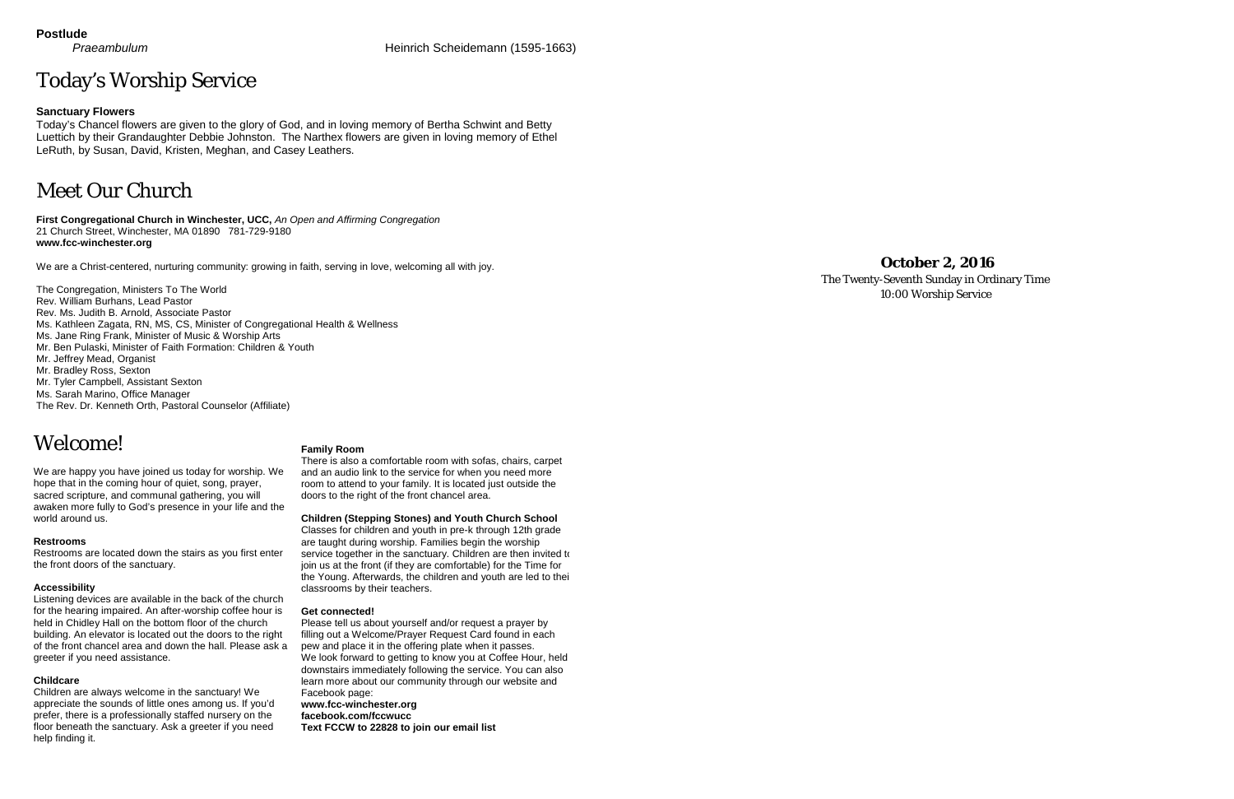# Today's Worship Service

#### **Sanctuary Flowers**

Today's Chancel flowers are given to the glory of God, and in loving memory of Bertha Schwint and Betty Luettich by their Grandaughter Debbie Johnston. The Narthex flowers are given in loving memory of Ethel LeRuth, by Susan, David, Kristen, Meghan, and Casey Leathers.

# Meet Our Church

**First Congregational Church in Winchester, UCC,** *An Open and Affirming Congregation* 21 Church Street, Winchester, MA 01890 781-729-9180 **www.fcc-winchester.org**

We are a Christ-centered, nurturing community: growing in faith, serving in love, welcoming all with joy.

The Congregation, Ministers To The World Rev. William Burhans, Lead Pastor Rev. Ms. Judith B. Arnold, Associate Pastor Ms. Kathleen Zagata, RN, MS, CS, Minister of Congregational Health & Wellness Ms. Jane Ring Frank, Minister of Music & Worship Arts Mr. Ben Pulaski, Minister of Faith Formation: Children & Youth Mr. Jeffrey Mead, Organist Mr. Bradley Ross, Sexton Mr. Tyler Campbell, Assistant Sexton Ms. Sarah Marino, Office Manager The Rev. Dr. Kenneth Orth, Pastoral Counselor (Affiliate)

# Welcome!

We are happy you have joined us today for worship. We hope that in the coming hour of quiet, song, prayer, sacred scripture, and communal gathering, you will awaken more fully to God's presence in your life and the world around us.

#### **Restrooms**

Restrooms are located down the stairs as you first enter the front doors of the sanctuary.

#### **Accessibility**

Listening devices are available in the back of the church for the hearing impaired. An after-worship coffee hour is held in Chidley Hall on the bottom floor of the church building. An elevator is located out the doors to the right of the front chancel area and down the hall. Please ask a greeter if you need assistance.

#### **Childcare**

Children are always welcome in the sanctuary! We appreciate the sounds of little ones among us. If you'd prefer, there is a professionally staffed nursery on the floor beneath the sanctuary. Ask a greeter if you need help finding it.

#### **Family Room**

There is also a comfortable room with sofas, chairs, carpet and an audio link to the service for when you need more room to attend to your family. It is located just outside the doors to the right of the front chancel area.

**Children (Stepping Stones) and Youth Church School**

Classes for children and youth in pre-k through 12th grade are taught during worship. Families begin the worship service together in the sanctuary. Children are then invited to join us at the front (if they are comfortable) for the Time for the Young. Afterwards, the children and youth are led to thei classrooms by their teachers.

#### **Get connected!**

Please tell us about yourself and/or request a prayer by filling out a Welcome/Prayer Request Card found in each pew and place it in the offering plate when it passes. We look forward to getting to know you at Coffee Hour, held downstairs immediately following the service. You can also learn more about our community through our website and Facebook page: **www.fcc-winchester.org facebook.com/fccwucc Text FCCW to 22828 to join our email list**

# **October 2, 2016**

The Twenty-Seventh Sunday in Ordinary Time 10:00 Worship Service